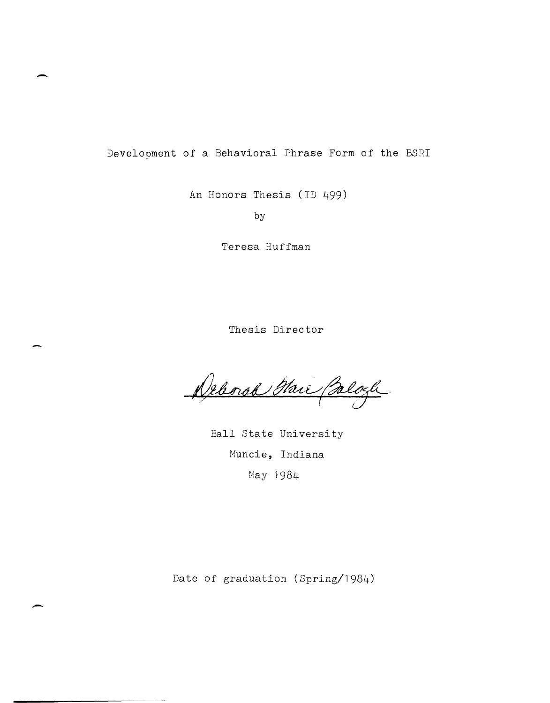Development of a Behavioral Phrase Form of the BSRI

-

-

An Honors Thesis (ID 499)

by

Teresa Huffman

Thesis Director

Deborah Mari Beloch

Ball State University Muncie, Indiana May 1984

Date of graduation (Spring/1984)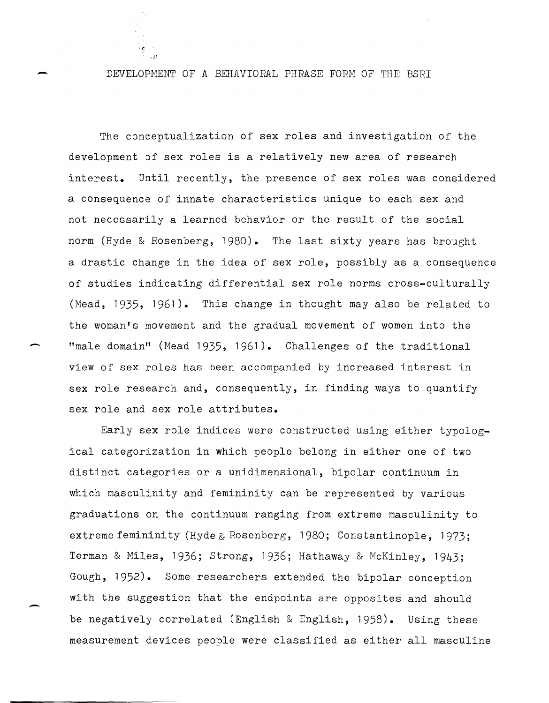DEVELOPMENT OF A BEHAVIORAL PHRASE FORM OF THE BSRI

-

, c

-

-

The conceptualization of sex roles and investigation of the development of sex roles is a relatively new area of research interest. Until recently, the presence of sex roles was considered a consequence of innate characteristics unique to each sex and not necessarily a learned behavior or the result of the social norm (Hyde & Rosenberg, 1980). The last sixty years has brought a drastic change in the idea of sex role, possibly as a consequence of studies indicating differential sex role norms cross-culturally (Mead, 1935, 1961). This change in thought may also be related to the woman's movement and the gradual movement of women into the "male domain" (Head 1935, **1961).** Challenges of the traditional view of sex roles has been accompanied by increased interest in sex role research and, consequently, in finding ways to quantify sex role and sex role attributes.

Early sex role indices were constructed using either typological categorization in which people belong in either one of two distinct categories or a unidimensional, bipolar continuum in which masculinity and femininity can be represented by various graduations on the continuum ranging from extreme masculinity to extreme feminini ty (Hyde & Rosenberg, 1980; Constantinople, 1973; Terman & Hiles, 1936; strong, 1936; Hathaway & McKinley, 1943; Gough, 1952). Some researchers extended the bipolar conception with the suggestion that the endpoints are opposites and should be negatively correlated (English & English, 1958). Using these measurement devices people were classified as either all masculine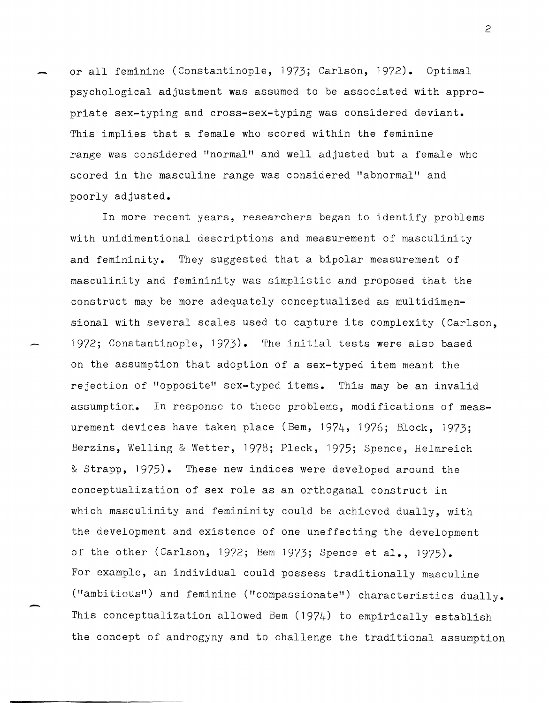or all feminine (Constantinople, 1973; Carlson, 1972). Optimal psychological adjustment was assumed to be associated with appropriate sex-typing and cross-sex-typing was considered deviant. This implies that a female who scored within the feminine range was considered "normal" and well adjusted but a female who scored in the masculine range was considered "abnormal" and poorly adjusted.

-

-

In more recent years, researchers began to identify problems with unidimentional descriptions and measurement of masculinity and femininity. They suggested that a bipolar measurement of masculinity and femininity was simplistic and proposed that the construct may be more adequately conceptualized as multidimensional with several scales used to capture its complexity (Carlson, 1972; Constantinople, 1973). The initial tests were also based on the assumption that adoption of a sex-typed item meant the rejection of "opposite" sex-typed items. This may be an invalid assumption. In response to these problems, modifications of measurement devices have taken place (Bem, 1974, 1976; Block, 1973; Berzins, Welling & Wetter, 1978; Pleck, 1975; Spence, Helmreich & strapp, 1975). These new indices were developed around the conceptualization of sex role as an orthoganal construct in which masculinity and femininity could be achieved dually, with the development and existence of one uneffecting the development of the other (Carlson, 1972; Bem 1973; Spence et **al.,** 1975). For example, an individual could possess traditionally masculine ("ambitious") and feminine ("compassionate") characteristics dually. This conceptualization allowed Bem (1974) to empirically establish the concept of androgyny and to challenge the traditional assumption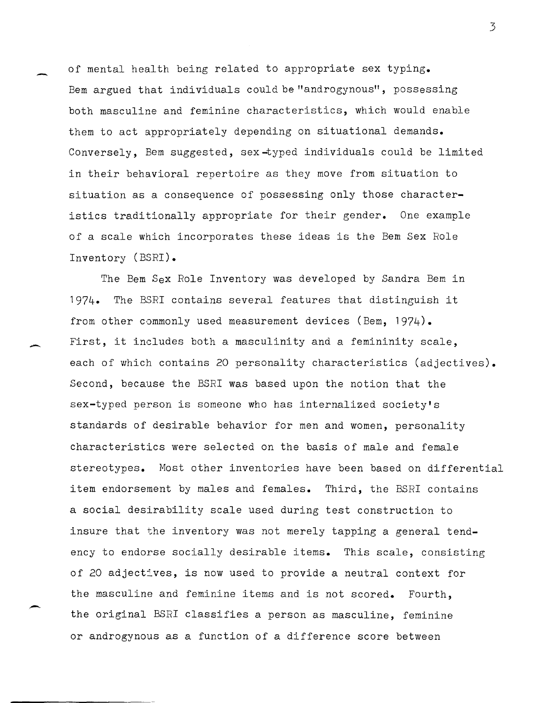of mental health being related to appropriate sex typing. Bem argued that individuals could be "androgynous", possessing both masculine and feminine characteristics, which would enable them to act appropriately depending on situational demands. Conversely, Bem suggested, sex-typed individuals could be limited in their behavioral repertoire as they move from situation to situation as a consequence of possessing only those characteristics traditionally appropriate for their gender. One example of a scale which incorporates these ideas is the Bem Sex Role Inventory (BSRI).

The Bem Sex Role Inventory was developed by Sandra Bem in 1974. The BSRI contains several features that distinguish it from other commonly used measurement devices (Bem, 1974). First, it includes both a masculinity and a femininity scale, each of which contains 20 personality characteristics (adjectives). Second, because the BSRI was based upon the notion that the sex-typed person is someone who has internalized society's standards of desirable behavior for men and women, personality characteristics were selected on the basis of male and female stereotypes. Most other inventories have been based on differential item endorsement by males and females. Third, the BSRI contains a social desirability scale used during test construction to insure that the inventory was not merely tapping a general tendency to endorse socially desirable items. This scale, consisting of 20 adjectives, is now used to provide a neutral context for the masculine and feminine items and is not scored. Fourth, the original BSRI classifies a person as masculine, feminine or androgynous as a fUnction of a difference score between

-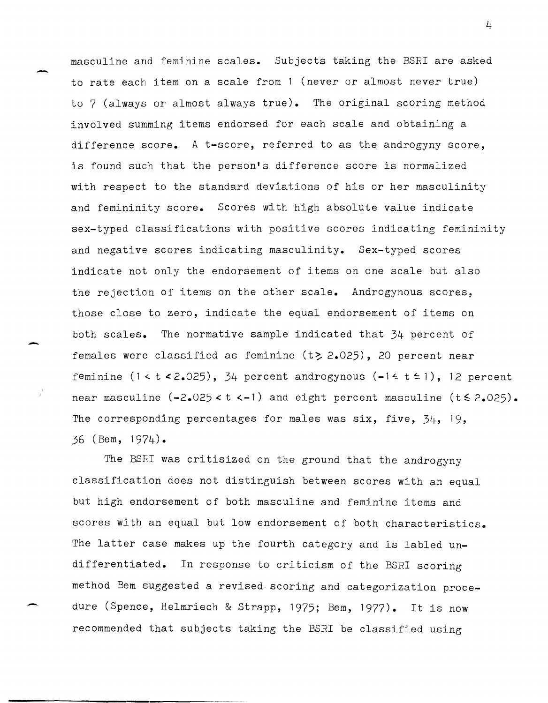masculine and feminine scales. Subjects taking the BSRI are asked to rate each item on a scale from 1 (never or almost never true) to 7 (always or almost always true). The original scoring method involved summing items endorsed for each scale and obtaining a difference score. A t-score, referred to as the androgyny score, is found such that the person's difference score is normalized with respect to the standard deviations of his or her masculinity and femininity score. Scores with high absolute value indicate sex-typed classifications with positive scores indicating femininity and negative scores indicating masculinity. Sex-typed scores indicate not only the endorsement of items on one scale but also the rejection of items on the other scale. Androgynous scores, those close to zero, indicate the equal endorsement of items on both scales. The normative sample indicated that 34 percent of females were classified as feminine  $(t\geq 2.025)$ , 20 percent near feminine  $(1 < t < 2.025)$ , 34 percent androgynous  $(-1 \le t \le 1)$ , 12 percent near masculine  $(-2.025 < t < -1)$  and eight percent masculine  $(t \le 2.025)$ . The corresponding percentages for males was six, five, 34, 19, 36 (Bem, 1974).

-

-

-

The BSRI was critisized on the ground that the androgyny classification does not distinguish between scores with an equal but high endorsement of both masculine and feminine items and scores with an equal but low endorsement of both characteristics. The latter case makes up the fourth category and is labled undifferentiated. In response to criticism of the BSRI scoring method Bem suggested a revised scoring and categorization procedure (Spence, Helmriech & Strapp, 1975; Bem, 1977). It is now recommended that subjects taking the BSRI be classified using

 $\frac{1}{4}$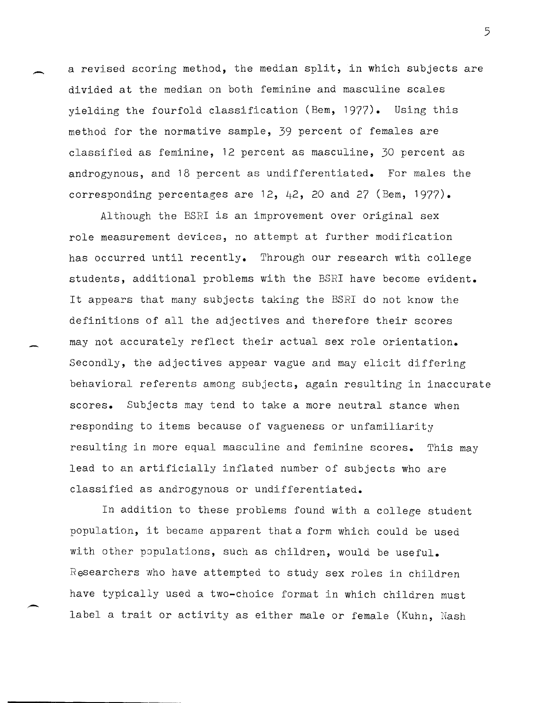a revised scoring method, the median split, in which subjects are divided at the median on both feminine and masculine scales yielding the fourfold classification (Bem, 1977). Using this method for the normative sample, 39 percent of females are classified as feminine, 12 percent as masculine, 30 percent as androgynous, and 18 percent as undifferentiated. For males the corresponding percentages are  $12$ ,  $42$ ,  $20$  and  $27$  (Bem,  $1977$ ).

.-

 $\overline{\phantom{0}}$ 

Although the BSRI is an improvement over original sex role measurement devices, no attempt at fUrther modification has occurred until recently. Through our research with college students, additional problems with the BSRI have become evident. It appears that many subjects taking the BSRI do not know the definitions of all the adjectives and therefore their scores may not accurately reflect their actual sex role orientation. Secondly, the adjectives appear vague and may elicit differing behavioral referents among subjects, again resulting in inaccurate scores. Subjects may tend to take a more neutral stance when responding to items because of vagueness or unfamiliarity resulting in more equal masculine and feminine scores. This may lead to an artificially inflated number of subjects who are classified as androgynous or undifferentiated.

In addition to these problems found with a college student popula tion, it became apparent that a form which could be used with other populations, such as children, would be useful. Researchers who have attempted to study sex roles in children have typically used a two-choice format in which children must label a trait or activity as either male or female (Kuhn, Nash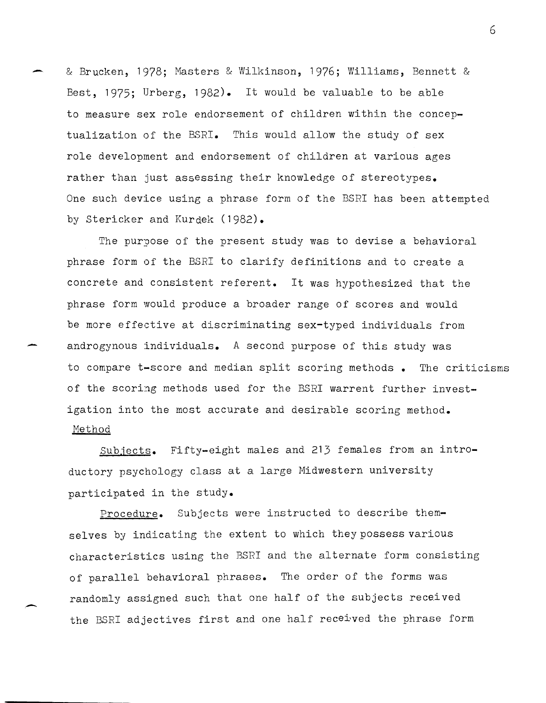- & Brucken, 1978; Masters & Wilkinson, 1976; Williams, Bennett & Best, 1975; Urberg, 1982). It would be valuable to be able to measure sex role endorsement of children within the conceptualization of the BSRI. This would allow the study of sex role development and endorsement of children at various ages rather than just assessing their knowledge of stereotypes. One such device using a phrase form of the BSRI has been attempted by Stericker and Kurdek (1982).

The purpose of the present study was to devise a behavioral phrase form of the BSRI to clarify definitions and to create a concrete and consistent referent. It was hypothesized that the phrase form would produce a broader range of scores and would be more effective at discriminating sex-typed individuals from androgynous individuals. A second purpose of this study was to compare t-score and median split scoring methods. The criticisms of the scoring methods used for the BSRI warrent further investigation into the most accurate and desirable scoring method. Method

-

Subjects. Fifty-eight males and 213 females from an introductory psychology class at a large Midwestern university participated in the study.

Procedure. Subjects were instructed to describe themselves by indicating the extent to which they possess various characteristics using the BSRI and the alternate form consisting of parallel behavioral phrases. The order of the forms was randomly assigned such that one half of the subjects received the BSRI adjectives first and one half received the phrase form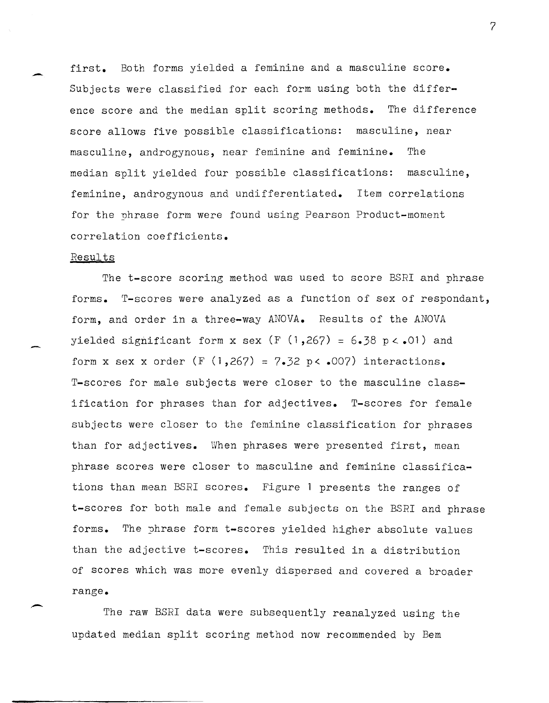first. Both forms yielded a feminine and a masculine score. Subjects were classified for each form using both the difference score and the median split scoring methods. The difference score allows five possible classifications: masculine, near masculine, androgynous, near feminine and feminine. The median split yielded four possible classifications: masculine, feminine, androgynous and undifferentiated. Item correlations for the phrase form were found using Pearson Product-moment correlation coefficients.

#### Results

-

-

The t-score scoring method was used to score BSRI and phrase forms. T-scores were analyzed as a function of sex of respondant, form, and order in a three-way ANOVA. Results of the ANOVA yielded significant form x sex (F  $(1,267) = 6.38$  p < .01) and form x sex x order  $(F (1, 267) = 7.32 \text{ p} < .007)$  interactions. T-scores for male subjects were closer to the masculine classification for phrases than for adjectives. T-scores for female subjects were closer to the feminine classification for phrases than for adjectives. When phrases were presented first, mean phrase scores were closer to masculine and feminine classifications than mean BSRI scores. Figure 1 presents the ranges of t-scores for both male and female subjects on the BSRI and phrase forms. The yhrase form t-scores yielded higher absolute values than the adjective t-scores. This resulted in a distribution of scores which was more evenly dispersed and covered a broader range.

The raw BSRI data were subsequently reanalyzed using the updated median split scoring method now recommended by Bem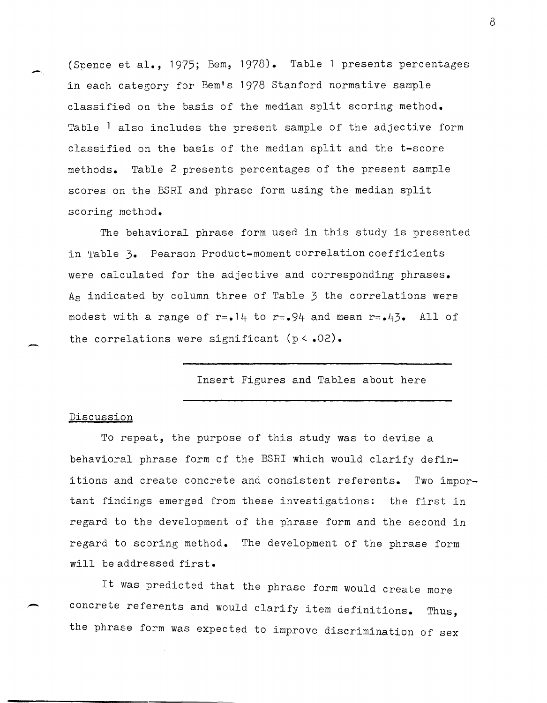(Spence et al., 1975; Bem, 1978). Table 1 presents percentages in each category for Bem's 1978 Stanford normative sample classified on the basis of the median split scoring method. Table <sup>1</sup> also includes the present sample of the adjective form classified on the basis of the median split and the t-score methods. Table 2 presents percentages of the present sample scores on the BSRI and phrase form using the median split scoring method.

The behavioral phrase form used in this study is presented in Table 3. Pearson Product-moment correlation coefficients were calculated for the adjective and corresponding phrases. As indicated by column three of Table 3 the correlations were modest with a range of r=.14 to r=.94 and mean r=.43. All of the correlations were significant  $(p < .02)$ .

Insert Figures and Tables about here

### Discussion

-

-

To repeat, the purpose of this study was to devise a behavioral phrase form of the BSRI which would clarify definitions and create concrete and consistent referents. Two important findings emerged from these investigations: the first in regard to the development of the phrase form and the second in regard to scoring method. The development of the phrase form will be addressed first.

It was predicted that the phrase form would create more concrete referents and would clarify item definitions. Thus, the phrase form was expected to improve discrimination of sex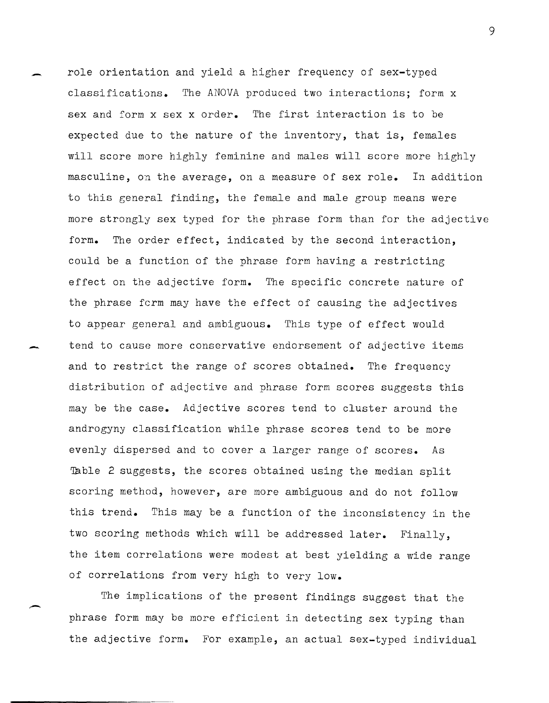role orientation and yield a higher frequency of sex-typed classifications. The ANOVA produced two interactions; form x sex and form x sex x order. The first interaction is to be expected due to the nature of the inventory, that is, females will score more highly feminine and males will score more highly masculine, on the average, on a measure of sex role. In addition to this general finding, the female and male group means were more strongly sex typed for the phrase form than for the adjective form. The order effect, indicated by the second interaction, could be a function of the phrase form having a restricting effect on the adjective form. The specific concrete nature of the phrase ferm may have the effect of causing the adjectives to appear general and ambiguous. This type of effect would tend to cause more conservative endorsement of adjective items and to restrict the range of scores obtained. The frequency distribution of adjective and phrase form scores suggests this may be the case. Adjective scores tend to cluster around the androgyny classification while phrase scores tend to be more evenly dispersed and to cover a larger range of scores. As Table 2 suggests, the scores obtained using the median split scoring method, however, are more ambiguous and do not follow this trend. This may be a function of the inconsistency in the two scoring methods which will be addressed later. Finally, the item correlations were modest at best yielding a wide range of correlations from very high to very low.

-

--

 $\overline{\phantom{0}}$ 

The implications of the present findings suggest that the phrase form may be more efficient in detecting sex typing than the adjective form. For example, an actual sex-typed individual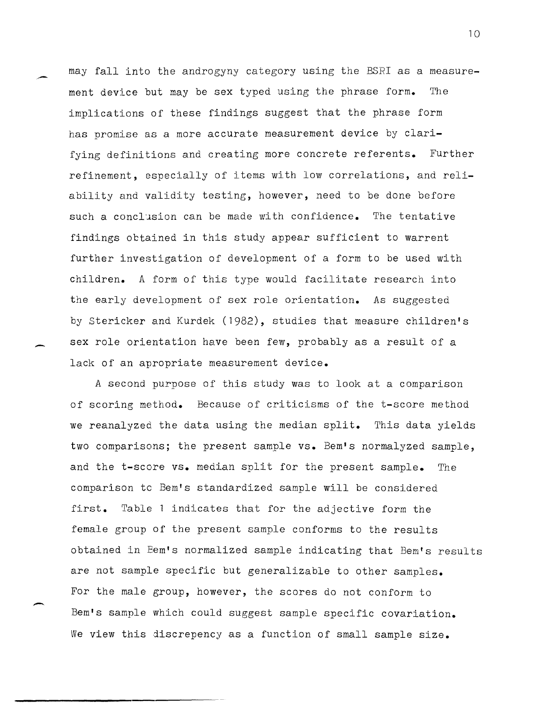may fall into the androgyny category using the BSRI as a measurement device but may be sex typed using the phrase form. The implications of these findings suggest that the phrase form has promise as a more accurate measurement device by clarifying definitions and creating more concrete referents. Further refinement, especially of items with low correlations, and reliability and validity testing, however, need to be done before such a conclusion can be made with confidence. The tentative findings obtained in this study appear sufficient to warrent further investigation of development of a form to be used with children. A form of this type would facilitate research into the early development of sex role orientation. As suggested by Stericker and Kurdek (1982), studies that measure children's sex role orientation have been few, probably as a result of a lack of an apropriate measurement device.

-

-

A second purpose of this study was to look at a comparison of scoring method. Because of criticisms of the t-score method we reanalyzed the data using the median split. This data yields two comparisons; the present sample **vs.** Bern's normalyzed sample, and the t-score **vs.** median split for the present sample. The comparison tc Bem's standardized sample will be considered first. Table 1 indicates that for the adjective form the female group of the present sample conforms to the results obtained in Bem's normalized sample indicating that Bem's results are not sample specific but generalizable to other samples. For the male group, however, the scores do not conform to Bem's sample which could suggest sample specific covariation. We view this discrepency as a function of small sample size.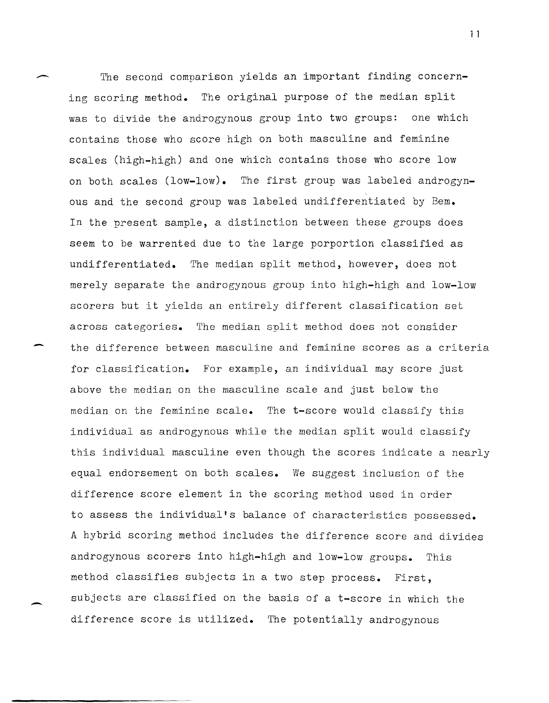The second comparison yields an important finding concerning scoring method. The original purpose of the median split was to divide the androgynous group into two groups: one which contains those who score high on both masculine and feminine scales (high-high) and one which contains those who score low on both scales (low-low). The first group was labeled androgyn-  $\ddot{\phantom{0}}$ ous and the second group was labeled undifferentiated by Bem. In the present sample, a distinction between these groups does seem to be warrented due to the large porportion classified as undifferentiated. The median split method, however, does not merely separate the androgynous group into high-high and low-low scorers but it yields an entirely different classification set across categories. The median split method does not consider the difference between masculine and feminine scores as a criteria for classification. For example, an individual may score just above the median on the masculine scale and just below the median on the feminine scale. The t-score would classify this individual as androgynous while the median split would classify this individual masculine even though the scores indicate a nearly equal endorsement on both scales. We suggest inclusion of the difference score element in the scoring method used in order to assess the individual's balance of characteristics possessed. A hybrid scoring method includes the difference score and divides androgynous scorers into high-high and low-low groups. This method classifies subjects in a two step process. First, subjects are classified on the basis of a t-score in which the difference score is utilized. The potentially androgynous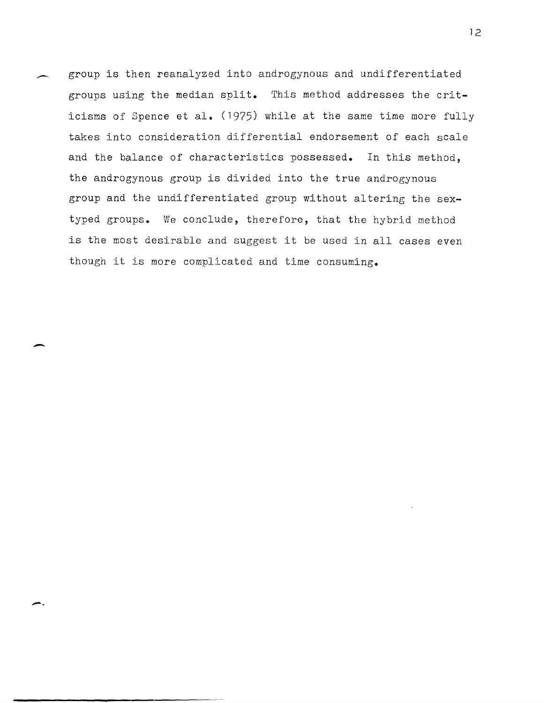group is then reanalyzed into androgynous and undifferentiated groups using the median split. This method addresses the criticisms of Spence et al. (1975) while at the same time more fully takes into consideration differential endorsement of each scale and the balance of characteristics possessed. In this method, the androgynous group is divided into the true androgynous group and the undifferentiated group without altering the sextyped groups. We conclude, therefore, that the hybrid method is the most desirable and suggest it be used in all cases even though it is more complicated and time consuming.

 $\overline{\phantom{a}}$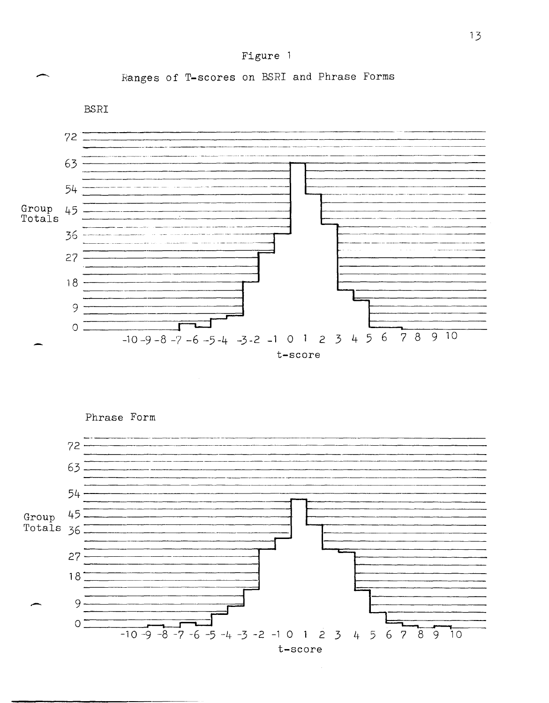## Figure 1

Ranges of T-scores on BSRI and Phrase Forms

**BSRI** 



Phrase Form

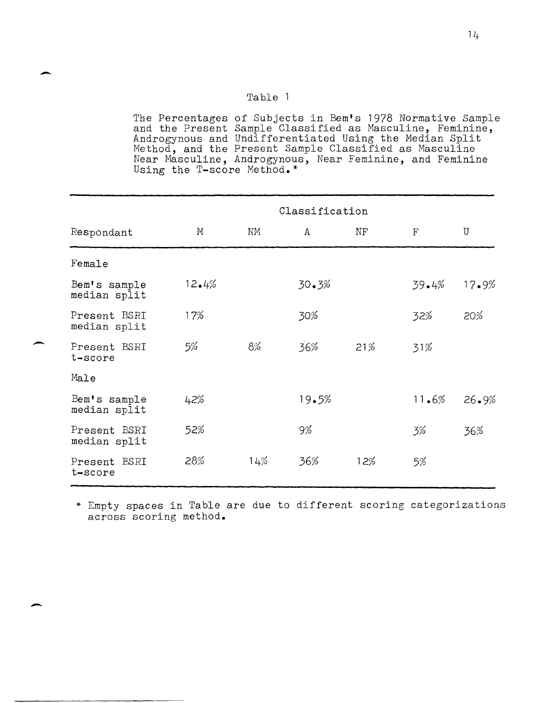## Table 1

-

-

-

The Percentages of Subjects in Bem's 1978 Normative Sample and the Present Sample Classified as Masculine, Feminine, Androgynous and Undifferentiated Using the Median Split Method, and the Present Sample Classified as Masculine Near Masculine, Androgynous, Near Feminine, and Feminine Using the T-score Method.\*

|                              | Classification |     |       |           |             |              |
|------------------------------|----------------|-----|-------|-----------|-------------|--------------|
| Respondant                   | М              | NΜ  | A     | $\rm{NF}$ | $\mathbf F$ | $\mathbf{U}$ |
| Female                       |                |     |       |           |             |              |
| Bem's sample<br>median split | 12.4%          |     | 30.3% |           | 39.4%       | 17.9%        |
| Present BSRI<br>median split | 17%            |     | 30%   |           | 32%         | 20%          |
| Present BSRI<br>t-score      | 5%             | 8%  | 36%   | 21%       | 31%         |              |
| Male                         |                |     |       |           |             |              |
| Bem's sample<br>median split | 42%            |     | 19.5% |           | 11.6%       | 26.9%        |
| Present BSRI<br>median split | 52%            |     | 9%    |           | 3%          | 36%          |
| Present BSRI<br>t-score      | 28%            | 14% | 36%   | 12%       | 5%          |              |

\* Empty spaces in Table are due to different scoring categorizations across scoring method.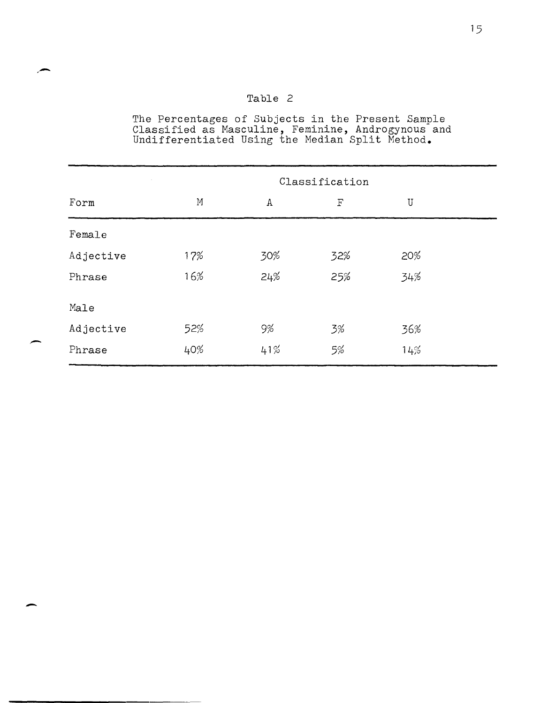## Table 2

.-

-

The Percentages of Subjects in the Present Sample Classified as Masculine, Feminine, Androgynous and Undifferentiated Using the Median Split Method.

|           |     |             | Classification |             |
|-----------|-----|-------------|----------------|-------------|
| Form      | M   | $\mathtt A$ | $\mathbf F$    | $\mathbf U$ |
| Female    |     |             |                |             |
| Adjective | 17% | 30%         | 32%            | 20%         |
| Phrase    | 16% | 24%         | 25%            | 34%         |
| Male      |     |             |                |             |
| Adjective | 52% | 9%          | 3%             | 36%         |
| Phrase    | 40% | 41%         | 5%             | 14%         |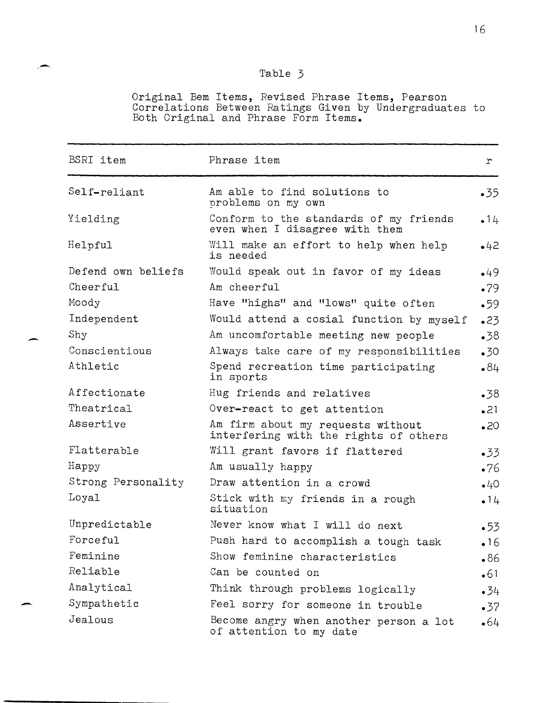# Table 3

-.

-

-

Original Bem Items, Revised Phrase Items, Pearson Correlations Between Ratings Given by Undergraduates to Both Original and Phrase Form Items.

| <b>BSRI</b> item   | Phrase item                                                                | r            |
|--------------------|----------------------------------------------------------------------------|--------------|
| Self-reliant       | Am able to find solutions to<br>problems on my own                         | $-35$        |
| Yielding           | Conform to the standards of my friends<br>even when I disagree with them   | • 14         |
| Helpful            | Will make an effort to help when help<br>is needed                         | •42          |
| Defend own beliefs | Would speak out in favor of my ideas                                       | •49          |
| Cheerful           | Am cheerful                                                                | •79          |
| Moody              | Have "highs" and "lows" quite often                                        | •59          |
| Independent        | Would attend a cosial function by myself                                   | •23          |
| Shy                | Am uncomfortable meeting new people                                        | $-38$        |
| Conscientious      | Always take care of my responsibilities                                    | $\cdot$ 30   |
| Athletic           | Spend recreation time participating<br>in sports                           | .84          |
| Affectionate       | Hug friends and relatives                                                  | $-38$        |
| Theatrical         | Over-react to get attention                                                | .21          |
| Assertive          | Am firm about my requests without<br>interfering with the rights of others | $\bullet$ 20 |
| Flatterable        | Will grant favors if flattered                                             | $-33$        |
| Happy              | Am usually happy                                                           | $\cdot 76$   |
| Strong Personality | Draw attention in a crowd                                                  | $-40$        |
| Loyal              | Stick with my friends in a rough<br>situation                              | • 14         |
| Unpredictable      | Never know what I will do next                                             | •53          |
| Forceful           | Push hard to accomplish a tough task                                       | •16          |
| Feminine           | Show feminine characteristics                                              | •86          |
| Reliable           | Can be counted on                                                          | •61          |
| Analytical         | Think through problems logically                                           | $-34$        |
| Sympathetic        | Feel sorry for someone in trouble                                          | $\cdot$ 37   |
| Jealous            | Become angry when another person a lot<br>of attention to my date          | •64          |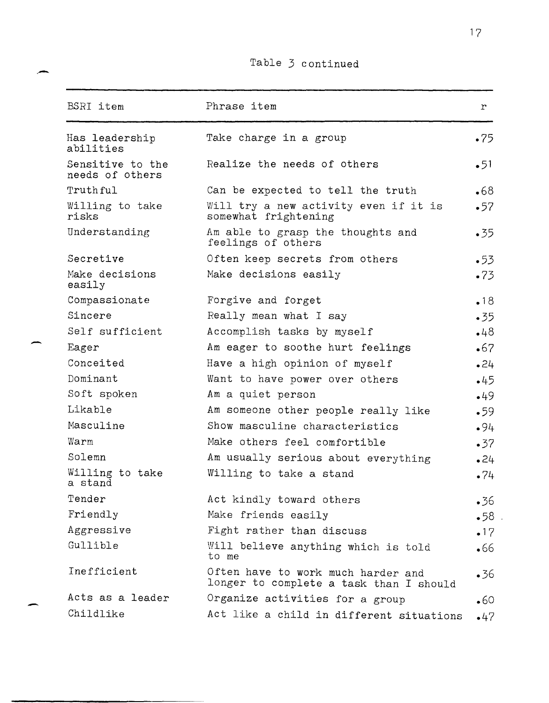# Table 3 continued

-

-

-

| <b>BSRI</b> item                    | Phrase item                                                                   | r          |
|-------------------------------------|-------------------------------------------------------------------------------|------------|
| Has leadership<br>abilities         | Take charge in a group                                                        | •75        |
| Sensitive to the<br>needs of others | Realize the needs of others                                                   | •51        |
| Truthful                            | Can be expected to tell the truth                                             | •68        |
| Willing to take<br>risks            | Will try a new activity even if it is<br>somewhat frightening                 | •57        |
| Understanding                       | Am able to grasp the thoughts and<br>feelings of others                       | •35        |
| Secretive                           | Often keep secrets from others                                                | •53        |
| Make decisions<br>easily            | Make decisions easily                                                         | •73        |
| Compassionate                       | Forgive and forget                                                            | •18        |
| Sincere                             | Really mean what I say                                                        | .35        |
| Self sufficient                     | Accomplish tasks by myself                                                    | $-48$      |
| Eager                               | Am eager to soothe hurt feelings                                              | •67        |
| Conceited                           | Have a high opinion of myself                                                 | •24        |
| Dominant                            | Want to have power over others                                                | $-45$      |
| Soft spoken                         | Am a quiet person                                                             | •49        |
| Likable                             | Am someone other people really like                                           | •59        |
| Masculine                           | Show masculine characteristics                                                | •94        |
| Warm                                | Make others feel comfortible                                                  | •37        |
| Solemn                              | Am usually serious about everything                                           | 24         |
| Willing to take<br>a stand          | Willing to take a stand                                                       | •74        |
| Tender                              | Act kindly toward others                                                      | •36        |
| Friendly                            | Make friends easily                                                           | •58        |
| Aggressive                          | Fight rather than discuss                                                     | •17        |
| Gullible                            | Will believe anything which is told<br>to me                                  | •66        |
| Inefficient                         | Often have to work much harder and<br>longer to complete a task than I should | $\cdot$ 36 |
| Acts as a leader                    | Organize activities for a group                                               | •60        |
| Childlike                           | Act like a child in different situations                                      | $\cdot$ 47 |

17

 $\cdot$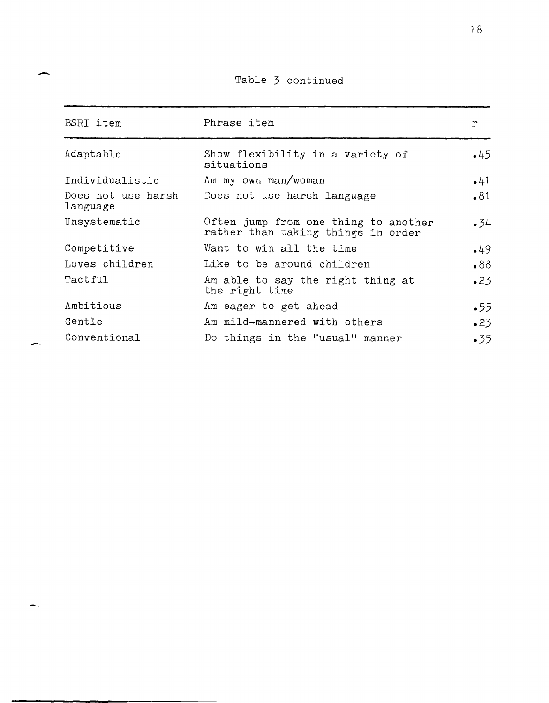Table 3 continued

 $\sim$ 

| BSRI item                      | Phrase item                                                                | $\mathbf{r}$ |
|--------------------------------|----------------------------------------------------------------------------|--------------|
| Adaptable                      | Show flexibility in a variety of<br>situations                             | $+45$        |
| Individualistic                | Am my own man/woman                                                        | •41          |
| Does not use harsh<br>language | Does not use harsh language                                                | •81          |
| Unsystematic                   | Often jump from one thing to another<br>rather than taking things in order | $\cdot 34$   |
| Competitive                    | Want to win all the time                                                   | $-49$        |
| Loves children                 | Like to be around children                                                 | 88.          |
| Tactful                        | Am able to say the right thing at<br>the right time                        | $-23$        |
| Ambitious                      | Am eager to get ahead                                                      | •55          |
| Gentle                         | Am mild-mannered with others                                               | •23          |
| Conventional                   | Do things in the "usual" manner                                            | $-35$        |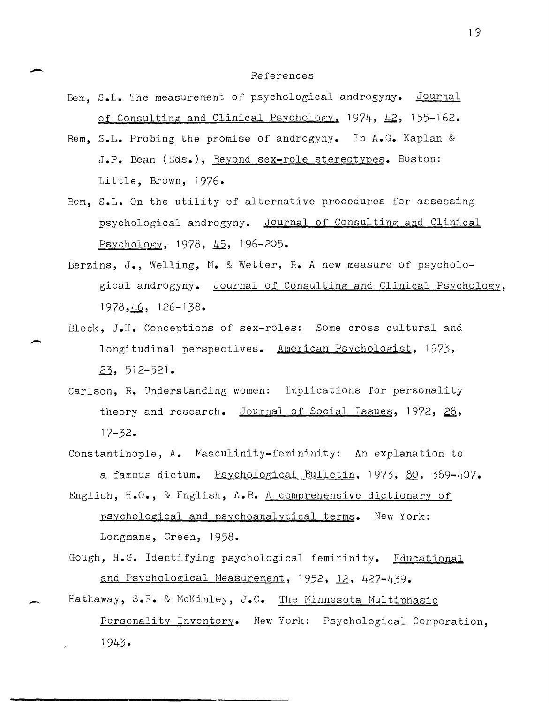#### References

- Bem. S.L. The measurement of psychological androgyny. Journal of Consulting and Clinical Psychology,  $1974$ ,  $\frac{12}{2}$ ,  $155-162$ .
- Bem, S.L. Probing the promise of androgyny. In A.G. Kaplan & J.P. Bean (Eds.), Beyond sex-role stereotypes. Boston: Little, Brown, 1976.
- Bem, S.L. On the utility of alternative procedures for assessing psychological androgyny. Journal of Consulting and Clinical Psychology, 1978,  $\frac{15}{2}$ , 196-205.
- Berzins, *J.,* Welling, M. & Wetter, *R.* A new measure of psychological androgyny. Journal of Consulting and Clinical Psychology, 1978, 46, 126-138.
- Block, J.H. Conceptions of sex-roles: Some cross cultural and longitudinal perspectives. American Psychologist, 1973, zj, 512-521.
- Carlson, *R.* Understanding women: Implications for personality theory and research. Journal of Social Issues, 1972, 28, 17-32.
- Constantinople, A. Masculinity-femininity: An explanation to a famous dictum. Psychological Bulletin, 1973, 80, 389-407. English, H.O., & English, A.B. A comprehensive dictionary of
	- psycholcgical and psychoanalytical terms. New York: Longmans, Green, 1958.
- Gough, H.G. Identifying psychological femininity. Educational and Psychological Measurement, 1952, 12, 427-439.
- Hathaway, S.R. & McKinley, J.C. The Minnesota Multiphasic Personality Inventory. New York: Psychological Corporation, 1943.